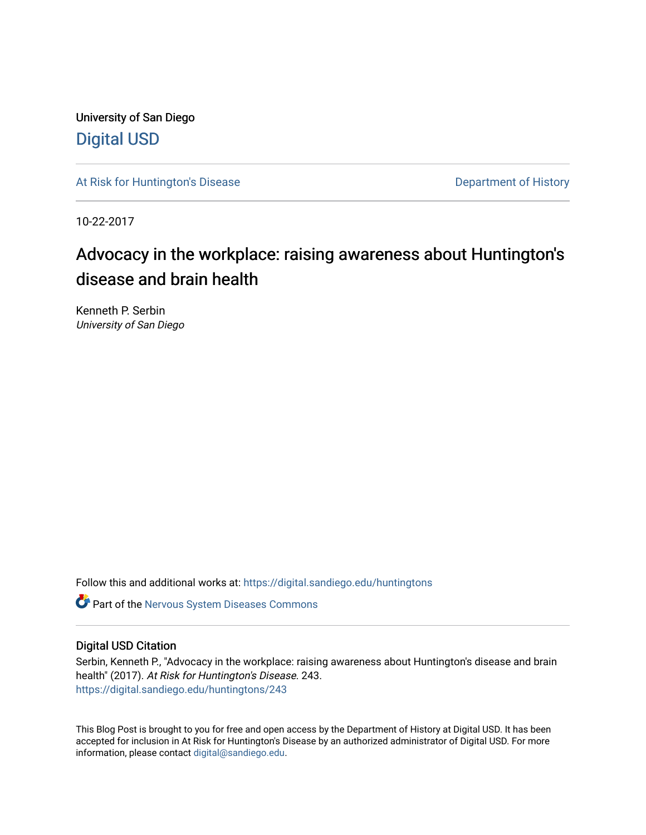University of San Diego [Digital USD](https://digital.sandiego.edu/)

[At Risk for Huntington's Disease](https://digital.sandiego.edu/huntingtons) **Department of History** Department of History

10-22-2017

# Advocacy in the workplace: raising awareness about Huntington's disease and brain health

Kenneth P. Serbin University of San Diego

Follow this and additional works at: [https://digital.sandiego.edu/huntingtons](https://digital.sandiego.edu/huntingtons?utm_source=digital.sandiego.edu%2Fhuntingtons%2F243&utm_medium=PDF&utm_campaign=PDFCoverPages)

**C** Part of the [Nervous System Diseases Commons](http://network.bepress.com/hgg/discipline/928?utm_source=digital.sandiego.edu%2Fhuntingtons%2F243&utm_medium=PDF&utm_campaign=PDFCoverPages)

### Digital USD Citation

Serbin, Kenneth P., "Advocacy in the workplace: raising awareness about Huntington's disease and brain health" (2017). At Risk for Huntington's Disease. 243. [https://digital.sandiego.edu/huntingtons/243](https://digital.sandiego.edu/huntingtons/243?utm_source=digital.sandiego.edu%2Fhuntingtons%2F243&utm_medium=PDF&utm_campaign=PDFCoverPages)

This Blog Post is brought to you for free and open access by the Department of History at Digital USD. It has been accepted for inclusion in At Risk for Huntington's Disease by an authorized administrator of Digital USD. For more information, please contact [digital@sandiego.edu.](mailto:digital@sandiego.edu)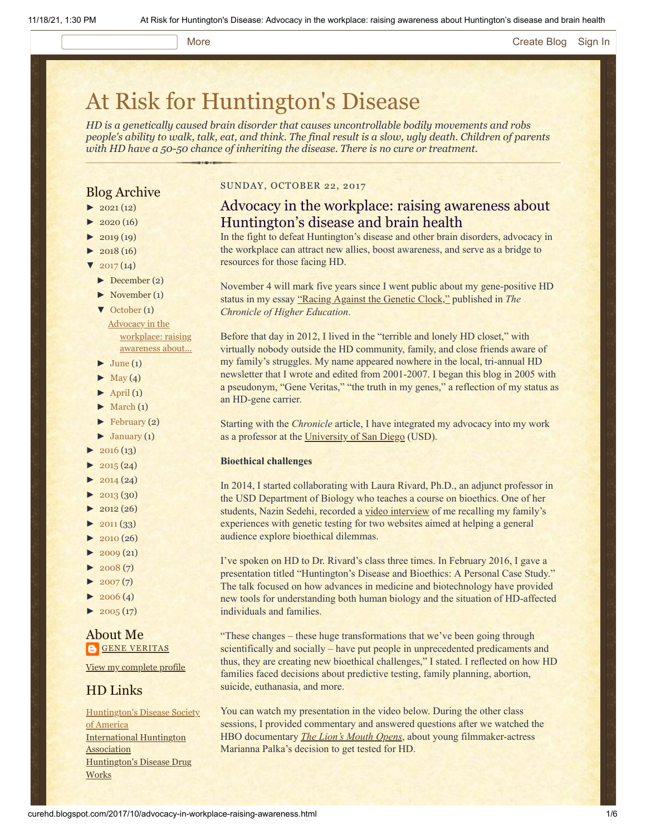### More **[Create Blog](https://www.blogger.com/home#create) [Sign In](https://www.blogger.com/)**

# [At Risk for Huntington's Disease](http://curehd.blogspot.com/)

*HD is a genetically caused brain disorder that causes uncontrollable bodily movements and robs people's ability to walk, talk, eat, and think. The final result is a slow, ugly death. Children of parents with HD have a 50-50 chance of inheriting the disease. There is no cure or treatment.*

### Blog Archive

- $\blacktriangleright$  [2021](http://curehd.blogspot.com/2021/)(12)
- $\blacktriangleright$  [2020](http://curehd.blogspot.com/2020/) (16)
- $2019(19)$  $2019(19)$
- $\blacktriangleright$  [2018](http://curehd.blogspot.com/2018/) (16)
- $2017(14)$  $2017(14)$ 
	- [►](javascript:void(0)) [December](http://curehd.blogspot.com/2017/12/) (2)
	- [►](javascript:void(0)) [November](http://curehd.blogspot.com/2017/11/) (1)
	- [▼](javascript:void(0)) [October](http://curehd.blogspot.com/2017/10/) (1) Advocacy in the [workplace:](http://curehd.blogspot.com/2017/10/advocacy-in-workplace-raising-awareness.html) raising awareness about...
	- $\blacktriangleright$  [June](http://curehd.blogspot.com/2017/06/) (1)
	- $\blacktriangleright$  [May](http://curehd.blogspot.com/2017/05/) (4)
	- $\blacktriangleright$  [April](http://curehd.blogspot.com/2017/04/) (1)
	- $\blacktriangleright$  [March](http://curehd.blogspot.com/2017/03/)  $(1)$
	- $\blacktriangleright$  [February](http://curehd.blogspot.com/2017/02/) (2)
	- $\blacktriangleright$  [January](http://curehd.blogspot.com/2017/01/) (1)
- $\blacktriangleright$  [2016](http://curehd.blogspot.com/2016/) (13)
- $\blacktriangleright$  [2015](http://curehd.blogspot.com/2015/) (24)
- $\blacktriangleright$  [2014](http://curehd.blogspot.com/2014/) (24)
- $\blacktriangleright$  [2013](http://curehd.blogspot.com/2013/) (30)
- $\blacktriangleright$  [2012](http://curehd.blogspot.com/2012/) (26)
- $\blacktriangleright$  [2011](http://curehd.blogspot.com/2011/) (33)
- $\blacktriangleright$  [2010](http://curehd.blogspot.com/2010/) (26)
- $\blacktriangleright$  [2009](http://curehd.blogspot.com/2009/) (21)
- $\blacktriangleright$  [2008](http://curehd.blogspot.com/2008/) $(7)$
- $\blacktriangleright$  [2007](http://curehd.blogspot.com/2007/) $(7)$
- $\blacktriangleright$  [2006](http://curehd.blogspot.com/2006/) (4)
- $\blacktriangleright$  [2005](http://curehd.blogspot.com/2005/) (17)

### About Me **GENE [VERITAS](https://www.blogger.com/profile/10911736205741688185)**

View my [complete](https://www.blogger.com/profile/10911736205741688185) profile

### HD Links

[Huntington's](http://www.hdsa.org/) Disease Society of America [International](http://www.huntington-assoc.com/) Huntington **Association** [Huntington's](http://hddrugworks.org/) Disease Drug **Works** 

### SUNDAY, OCTOBER 22, 2017

## Advocacy in the workplace: raising awareness about Huntington's disease and brain health

In the fight to defeat Huntington's disease and other brain disorders, advocacy in the workplace can attract new allies, boost awareness, and serve as a bridge to resources for those facing HD.

November 4 will mark five years since I went public about my gene-positive HD status in my essay ["Racing Against the Genetic Clock,"](http://www.chronicle.com/article/Racing-Against-the-Genetic/135542) published in *The Chronicle of Higher Education*.

Before that day in 2012, I lived in the "terrible and lonely HD closet," with virtually nobody outside the HD community, family, and close friends aware of my family's struggles. My name appeared nowhere in the local, tri-annual HD newsletter that I wrote and edited from 2001-2007. I began this blog in 2005 with a pseudonym, "Gene Veritas," "the truth in my genes," a reflection of my status as an HD-gene carrier.

Starting with the *Chronicle* article, I have integrated my advocacy into my work as a professor at the [University of San Diego](http://www.sandiego.edu/cas/learning-communities//directory/biography.php?profile_id=87) (USD).

### **Bioethical challenges**

In 2014, I started collaborating with Laura Rivard, Ph.D., an adjunct professor in the USD Department of Biology who teaches a course on bioethics. One of her students, Nazin Sedehi, recorded a [video interview](http://knowgenetics.org/2015/09/12/interview-genetic-testing-for-huntingtons-disease-and-a-very-personal-decision/) of me recalling my family's experiences with genetic testing for two websites aimed at helping a general audience explore bioethical dilemmas.

I've spoken on HD to Dr. Rivard's class three times. In February 2016, I gave a presentation titled "Huntington's Disease and Bioethics: A Personal Case Study." The talk focused on how advances in medicine and biotechnology have provided new tools for understanding both human biology and the situation of HD-affected individuals and families.

"These changes – these huge transformations that we've been going through scientifically and socially – have put people in unprecedented predicaments and thus, they are creating new bioethical challenges," I stated. I reflected on how HD families faced decisions about predictive testing, family planning, abortion, suicide, euthanasia, and more.

You can watch my presentation in the video below. During the other class sessions, I provided commentary and answered questions after we watched the HBO documentary *[The Lion's Mouth Opens](http://www.lucywalkerfilm.com/THE-LION-S-MOUTH-OPENS)*, about young filmmaker-actress Marianna Palka's decision to get tested for HD.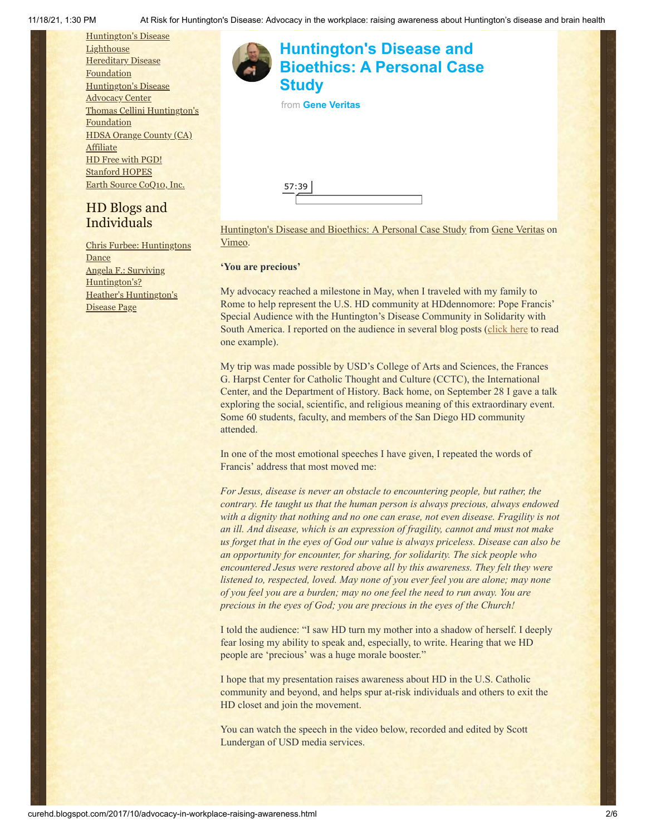[Huntington's](http://www.hdlighthouse.org/) Disease **Lighthouse Hereditary Disease** [Foundation](http://www.hdfoundation.org/) [Huntington's](http://www.hdac.org/) Disease Advocacy Center Thomas [Cellini Huntington's](http://www.ourtchfoundation.org/) **Foundation** HDSA [Orange](http://www.hdsaoc.org/) County (CA) Affiliate HD Free with [PGD!](http://www.hdfreewithpgd.com/) [Stanford](http://www.stanford.edu/group/hopes/) HOPES Earth Source [CoQ10,](http://www.escoq10.com/) Inc.

## HD Blogs and Individuals

Chris Furbee: [Huntingtons](http://www.huntingtonsdance.org/) Dance Angela F.: Surviving [Huntington's?](http://survivinghuntingtons.blogspot.com/) Heather's [Huntington's](http://heatherdugdale.angelfire.com/) Disease Page



[Huntington's Disease and Bioethics: A Personal Case Study](https://vimeo.com/154872479) from [Gene Veritas](https://vimeo.com/user6019843) on [Vimeo.](https://vimeo.com/)

### **'You are precious'**

My advocacy reached a milestone in May, when I traveled with my family to Rome to help represent the U.S. HD community at HDdennomore: Pope Francis' Special Audience with the Huntington's Disease Community in Solidarity with South America. I reported on the audience in several blog posts [\(click here](http://curehd.blogspot.com/2017/05/pope-francis-declares-huntingtons.html) to read one example).

My trip was made possible by USD's College of Arts and Sciences, the Frances G. Harpst Center for Catholic Thought and Culture (CCTC), the International Center, and the Department of History. Back home, on September 28 I gave a talk exploring the social, scientific, and religious meaning of this extraordinary event. Some 60 students, faculty, and members of the San Diego HD community attended.

In one of the most emotional speeches I have given, I repeated the words of Francis' address that most moved me:

*For Jesus, disease is never an obstacle to encountering people, but rather, the contrary. He taught us that the human person is always precious, always endowed with a dignity that nothing and no one can erase, not even disease. Fragility is not an ill. And disease, which is an expression of fragility, cannot and must not make us forget that in the eyes of God our value is always priceless. Disease can also be an opportunity for encounter, for sharing, for solidarity. The sick people who encountered Jesus were restored above all by this awareness. They felt they were listened to, respected, loved. May none of you ever feel you are alone; may none of you feel you are a burden; may no one feel the need to run away. You are precious in the eyes of God; you are precious in the eyes of the Church!*

I told the audience: "I saw HD turn my mother into a shadow of herself. I deeply fear losing my ability to speak and, especially, to write. Hearing that we HD people are 'precious' was a huge morale booster."

I hope that my presentation raises awareness about HD in the U.S. Catholic community and beyond, and helps spur at-risk individuals and others to exit the HD closet and join the movement.

You can watch the speech in the video below, recorded and edited by Scott Lundergan of USD media services.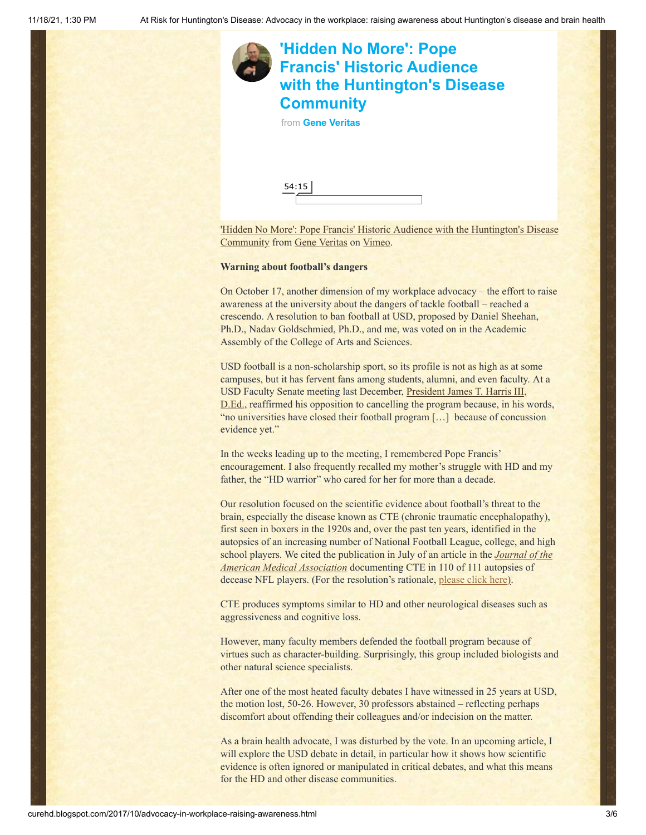

### **Warning about football's dangers**

On October 17, another dimension of my workplace advocacy – the effort to raise awareness at the university about the dangers of tackle football – reached a crescendo. A resolution to ban football at USD, proposed by Daniel Sheehan, Ph.D., Nadav Goldschmied, Ph.D., and me, was voted on in the Academic Assembly of the College of Arts and Sciences.

USD football is a non-scholarship sport, so its profile is not as high as at some campuses, but it has fervent fans among students, alumni, and even faculty. At a USD Faculty Senate meeting last December, President James T. Harris III, D.Ed., [reaffirmed his opposition to cancelling the program because, in his](https://www.sandiego.edu/president/about/biography.php?profile_id=1409]) words, "no universities have closed their football program […] because of concussion evidence yet."

In the weeks leading up to the meeting, I remembered Pope Francis' encouragement. I also frequently recalled my mother's struggle with HD and my father, the "HD warrior" who cared for her for more than a decade.

Our resolution focused on the scientific evidence about football's threat to the brain, especially the disease known as CTE (chronic traumatic encephalopathy), first seen in boxers in the 1920s and, over the past ten years, identified in the autopsies of an increasing number of National Football League, college, and high [school players. We cited the publication in July of an article in the](https://jamanetwork.com/journals/jama/article-abstract/2645104) *Journal of the American Medical Association* documenting CTE in 110 of 111 autopsies of decease NFL players. (For the resolution's rationale, [please click here](http://curehd.blogspot.com/2017/02/banning-college-football-urgent.html)[\)](http://curehd.blogspot.com/2017/02/banning-college-football-urgent.html%5d)).

CTE produces symptoms similar to HD and other neurological diseases such as aggressiveness and cognitive loss.

However, many faculty members defended the football program because of virtues such as character-building. Surprisingly, this group included biologists and other natural science specialists.

After one of the most heated faculty debates I have witnessed in 25 years at USD, the motion lost, 50-26. However, 30 professors abstained – reflecting perhaps discomfort about offending their colleagues and/or indecision on the matter.

As a brain health advocate, I was disturbed by the vote. In an upcoming article, I will explore the USD debate in detail, in particular how it shows how scientific evidence is often ignored or manipulated in critical debates, and what this means for the HD and other disease communities.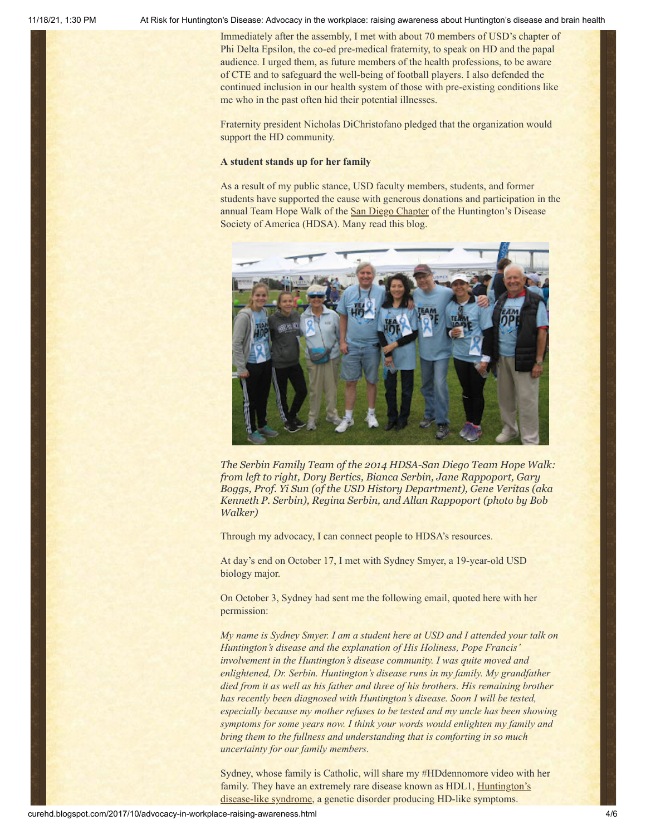11/18/21, 1:30 PM At Risk for Huntington's Disease: Advocacy in the workplace: raising awareness about Huntington's disease and brain health

Immediately after the assembly, I met with about 70 members of USD's chapter of Phi Delta Epsilon, the co-ed pre-medical fraternity, to speak on HD and the papal audience. I urged them, as future members of the health professions, to be aware of CTE and to safeguard the well-being of football players. I also defended the continued inclusion in our health system of those with pre-existing conditions like me who in the past often hid their potential illnesses.

Fraternity president Nicholas DiChristofano pledged that the organization would support the HD community.

### **A student stands up for her family**

As a result of my public stance, USD faculty members, students, and former students have supported the cause with generous donations and participation in the annual Team Hope Walk of the [San Diego Chapter](http://san-diego.hdsa.org/) of the Huntington's Disease Society of America (HDSA). Many read this blog.



*The Serbin Family Team of the 2014 HDSA-San Diego Team Hope Walk: from left to right, Dory Bertics, Bianca Serbin, Jane Rappoport, Gary Boggs, Prof. Yi Sun (of the USD History Department), Gene Veritas (aka Kenneth P. Serbin), Regina Serbin, and Allan Rappoport (photo by Bob Walker)*

Through my advocacy, I can connect people to HDSA's resources.

At day's end on October 17, I met with Sydney Smyer, a 19-year-old USD biology major.

On October 3, Sydney had sent me the following email, quoted here with her permission:

*My name is Sydney Smyer. I am a student here at USD and I attended your talk on Huntington's disease and the explanation of His Holiness, Pope Francis' involvement in the Huntington's disease community. I was quite moved and enlightened, Dr. Serbin. Huntington's disease runs in my family. My grandfather died from it as well as his father and three of his brothers. His remaining brother has recently been diagnosed with Huntington's disease. Soon I will be tested, especially because my mother refuses to be tested and my uncle has been showing symptoms for some years now. I think your words would enlighten my family and bring them to the fullness and understanding that is comforting in so much uncertainty for our family members.*

Sydney, whose family is Catholic, will share my #HDdennomore video with her family. They have an extremely rare disease known as HDL1, **Huntington's** disease-like syndrome, a genetic disorder producing HD-like symptoms.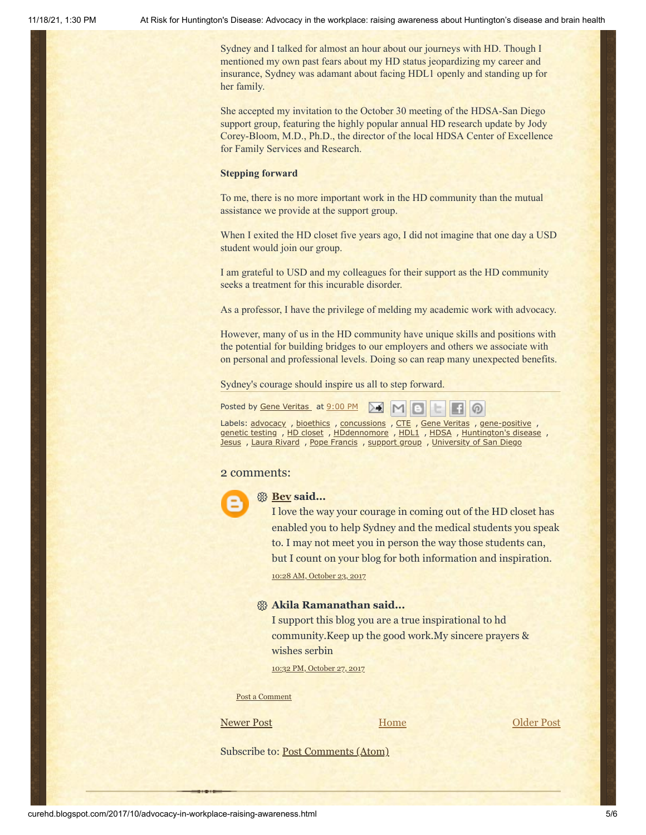Sydney and I talked for almost an hour about our journeys with HD. Though I mentioned my own past fears about my HD status jeopardizing my career and insurance, Sydney was adamant about facing HDL1 openly and standing up for her family.

She accepted my invitation to the October 30 meeting of the HDSA-San Diego support group, featuring the highly popular annual HD research update by Jody Corey-Bloom, M.D., Ph.D., the director of the local HDSA Center of Excellence for Family Services and Research.

### **Stepping forward**

To me, there is no more important work in the HD community than the mutual assistance we provide at the support group.

When I exited the HD closet five years ago, I did not imagine that one day a USD student would join our group.

I am grateful to USD and my colleagues for their support as the HD community seeks a treatment for this incurable disorder.

As a professor, I have the privilege of melding my academic work with advocacy.

However, many of us in the HD community have unique skills and positions with the potential for building bridges to our employers and others we associate with on personal and professional levels. Doing so can reap many unexpected benefits.

Sydney's courage should inspire us all to step forward.

| Posted by <u>Gene Veritas</u> at <u>9:00 PM</u> M M B C C C |  |  |
|-------------------------------------------------------------|--|--|
|                                                             |  |  |

Labels: [advocacy](http://curehd.blogspot.com/search/label/advocacy), [bioethics](http://curehd.blogspot.com/search/label/bioethics), [concussions](http://curehd.blogspot.com/search/label/concussions), [CTE](http://curehd.blogspot.com/search/label/CTE), Gene [Veritas](http://curehd.blogspot.com/search/label/Gene%20Veritas), [gene-positive](http://curehd.blogspot.com/search/label/gene-positive), [genetic](http://curehd.blogspot.com/search/label/genetic%20testing) testing , HD [closet](http://curehd.blogspot.com/search/label/HD%20closet) , [HDdennomore](http://curehd.blogspot.com/search/label/HDdennomore) , [HDL1](http://curehd.blogspot.com/search/label/HDL1) , [HDSA](http://curehd.blogspot.com/search/label/HDSA) , [Huntington's](http://curehd.blogspot.com/search/label/Huntington%27s%20disease) disease , [Jesus](http://curehd.blogspot.com/search/label/Jesus) , Laura [Rivard](http://curehd.blogspot.com/search/label/Laura%20Rivard) , Pope [Francis](http://curehd.blogspot.com/search/label/Pope%20Francis) , [support](http://curehd.blogspot.com/search/label/support%20group) group , [University](http://curehd.blogspot.com/search/label/University%20of%20San%20Diego) of San Diego

### 2 comments:



### **[Bev](https://www.blogger.com/profile/03503485303129848329) said...**

I love the way your courage in coming out of the HD closet has enabled you to help Sydney and the medical students you speak to. I may not meet you in person the way those students can, but I count on your blog for both information and inspiration. 10:28 AM, [October](http://curehd.blogspot.com/2017/10/advocacy-in-workplace-raising-awareness.html?showComment=1508779723469#c4164407682492219042) 23, 2017

### **Akila Ramanathan said...**

I support this blog you are a true inspirational to hd community.Keep up the good work.My sincere prayers & wishes serbin

10:32 PM, [October](http://curehd.blogspot.com/2017/10/advocacy-in-workplace-raising-awareness.html?showComment=1509168728302#c4007559471528922684) 27, 2017

Post a [Comment](https://www.blogger.com/comment.g?blogID=10081281&postID=2381611589615927701&isPopup=true)

### [Newer Post](http://curehd.blogspot.com/2017/11/a-time-for-hope-hdsas-50th-anniversary.html) **Newer Post [Older Post](http://curehd.blogspot.com/2017/06/ionis-huntingtons-disease-drug-step.html) Older Post**

[Home](http://curehd.blogspot.com/)

Subscribe to: [Post Comments \(Atom\)](http://curehd.blogspot.com/feeds/2381611589615927701/comments/default)